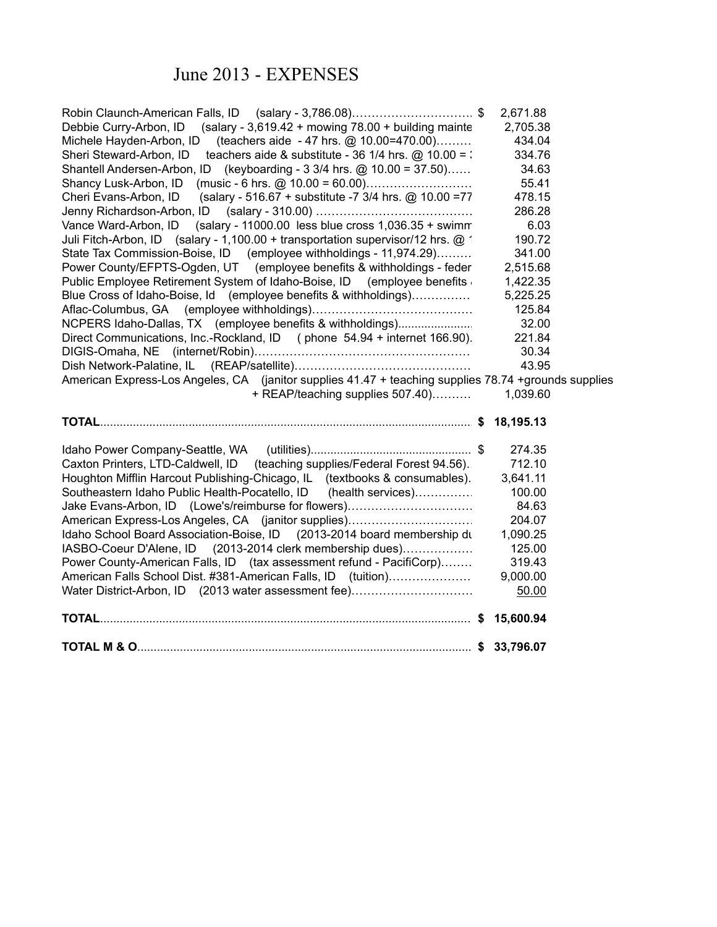## June 2013 - EXPENSES

| Water District-Arbon, ID (2013 water assessment fee)                                                 | 50.00    |
|------------------------------------------------------------------------------------------------------|----------|
| American Falls School Dist. #381-American Falls, ID (tuition)                                        | 9,000.00 |
| Power County-American Falls, ID (tax assessment refund - PacifiCorp)                                 | 319.43   |
| IASBO-Coeur D'Alene, ID (2013-2014 clerk membership dues)                                            | 125.00   |
| Idaho School Board Association-Boise, ID (2013-2014 board membership du                              | 1,090.25 |
| American Express-Los Angeles, CA (janitor supplies)                                                  | 204.07   |
| Jake Evans-Arbon, ID (Lowe's/reimburse for flowers)                                                  | 84.63    |
| Southeastern Idaho Public Health-Pocatello, ID (health services)                                     | 100.00   |
| Houghton Mifflin Harcout Publishing-Chicago, IL (textbooks & consumables).                           | 3,641.11 |
| Caxton Printers, LTD-Caldwell, ID (teaching supplies/Federal Forest 94.56).                          | 712.10   |
|                                                                                                      | 274.35   |
|                                                                                                      |          |
| + REAP/teaching supplies 507.40)                                                                     | 1,039.60 |
| American Express-Los Angeles, CA (janitor supplies 41.47 + teaching supplies 78.74 +grounds supplies |          |
|                                                                                                      | 43.95    |
|                                                                                                      | 30.34    |
| Direct Communications, Inc.-Rockland, ID (phone 54.94 + internet 166.90).                            | 221.84   |
| NCPERS Idaho-Dallas, TX (employee benefits & withholdings)                                           | 32.00    |
|                                                                                                      | 125.84   |
| Blue Cross of Idaho-Boise, Id (employee benefits & withholdings)                                     | 5,225.25 |
| Public Employee Retirement System of Idaho-Boise, ID (employee benefits                              | 1,422.35 |
| Power County/EFPTS-Ogden, UT (employee benefits & withholdings - feder                               | 2,515.68 |
| State Tax Commission-Boise, ID (employee withholdings - 11,974.29)                                   | 341.00   |
| Juli Fitch-Arbon, ID (salary - 1,100.00 + transportation supervisor/12 hrs. @ 1                      | 190.72   |
| (salary - 11000.00 less blue cross 1,036.35 + swimm)<br>Vance Ward-Arbon, ID                         | 6.03     |
|                                                                                                      | 286.28   |
| Cheri Evans-Arbon, ID<br>(salary - 516.67 + substitute -7 3/4 hrs. @ 10.00 =77                       | 478.15   |
| Shancy Lusk-Arbon, ID (music - 6 hrs. @ 10.00 = 60.00)                                               | 55.41    |
| Shantell Andersen-Arbon, ID (keyboarding - 3 3/4 hrs. @ 10.00 = 37.50)                               | 34.63    |
| Sheri Steward-Arbon, ID<br>teachers aide & substitute - 36 1/4 hrs. $@$ 10.00 = :                    | 334.76   |
| Michele Hayden-Arbon, ID (teachers aide - 47 hrs. @ 10.00=470.00)                                    | 434.04   |
| (salary - 3,619.42 + mowing $78.00 +$ building mainte<br>Debbie Curry-Arbon, ID                      | 2,705.38 |
| Robin Claunch-American Falls, ID (salary - 3,786.08)\$                                               | 2,671.88 |